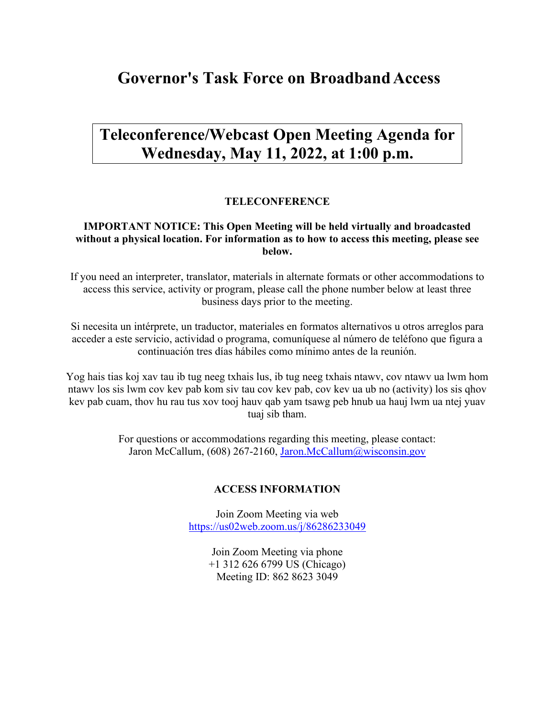# **Governor's Task Force on BroadbandAccess**

# **Teleconference/Webcast Open Meeting Agenda for Wednesday, May 11, 2022, at 1:00 p.m.**

### **TELECONFERENCE**

### **IMPORTANT NOTICE: This Open Meeting will be held virtually and broadcasted without a physical location. For information as to how to access this meeting, please see below.**

If you need an interpreter, translator, materials in alternate formats or other accommodations to access this service, activity or program, please call the phone number below at least three business days prior to the meeting.

Si necesita un intérprete, un traductor, materiales en formatos alternativos u otros arreglos para acceder a este servicio, actividad o programa, comuníquese al número de teléfono que figura a continuación tres días hábiles como mínimo antes de la reunión.

Yog hais tias koj xav tau ib tug neeg txhais lus, ib tug neeg txhais ntawv, cov ntawv ua lwm hom ntawv los sis lwm cov kev pab kom siv tau cov kev pab, cov kev ua ub no (activity) los sis qhov kev pab cuam, thov hu rau tus xov tooj hauv qab yam tsawg peb hnub ua hauj lwm ua ntej yuav tuaj sib tham.

> For questions or accommodations regarding this meeting, please contact: Jaron McCallum, (608) 267-2160, [Jaron.McCallum@wisconsin.gov](mailto:Jaron.McCallum@wisconsin.gov)

#### **ACCESS INFORMATION**

Join Zoom Meeting via web <https://us02web.zoom.us/j/86286233049>

> Join Zoom Meeting via phone +1 312 626 6799 US (Chicago) Meeting ID: 862 8623 3049